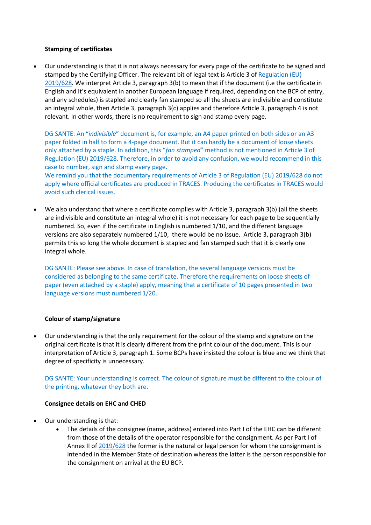## **Stamping of certificates**

 Our understanding is that it is not always necessary for every page of the certificate to be signed and stamped by the Certifying Officer. The relevant bit of legal text is Article 3 o[f Regulation \(EU\)](https://eur-lex.europa.eu/legal-content/EN/TXT/PDF/?uri=CELEX:02019R0628-20190517&from=EN)  [2019/628.](https://eur-lex.europa.eu/legal-content/EN/TXT/PDF/?uri=CELEX:02019R0628-20190517&from=EN) We interpret Article 3, paragraph 3(b) to mean that if the document (i.e the certificate in English and it's equivalent in another European language if required, depending on the BCP of entry, and any schedules) is stapled and clearly fan stamped so all the sheets are indivisible and constitute an integral whole, then Article 3, paragraph 3(c) applies and therefore Article 3, paragraph 4 is not relevant. In other words, there is no requirement to sign and stamp every page.

DG SANTE: An "*indivisible*" document is, for example, an A4 paper printed on both sides or an A3 paper folded in half to form a 4-page document. But it can hardly be a document of loose sheets only attached by a staple. In addition, this "*fan stamped*" method is not mentioned in Article 3 of Regulation (EU) 2019/628. Therefore, in order to avoid any confusion, we would recommend in this case to number, sign and stamp every page.

We remind you that the documentary requirements of Article 3 of Regulation (EU) 2019/628 do not apply where official certificates are produced in TRACES. Producing the certificates in TRACES would avoid such clerical issues.

 We also understand that where a certificate complies with Article 3, paragraph 3(b) (all the sheets are indivisible and constitute an integral whole) it is not necessary for each page to be sequentially numbered. So, even if the certificate in English is numbered 1/10, and the different language versions are also separately numbered 1/10, there would be no issue. Article 3, paragraph 3(b) permits this so long the whole document is stapled and fan stamped such that it is clearly one integral whole.

DG SANTE: Please see above. In case of translation, the several language versions must be considered as belonging to the same certificate. Therefore the requirements on loose sheets of paper (even attached by a staple) apply, meaning that a certificate of 10 pages presented in two language versions must numbered 1/20.

# **Colour of stamp/signature**

 Our understanding is that the only requirement for the colour of the stamp and signature on the original certificate is that it is clearly different from the print colour of the document. This is our interpretation of Article 3, paragraph 1. Some BCPs have insisted the colour is blue and we think that degree of specificity is unnecessary.

DG SANTE: Your understanding is correct. The colour of signature must be different to the colour of the printing, whatever they both are.

## **Consignee details on EHC and CHED**

- Our understanding is that:
	- The details of the consignee (name, address) entered into Part I of the EHC can be different from those of the details of the operator responsible for the consignment. As per Part I of Annex II o[f 2019/628](https://eur-lex.europa.eu/legal-content/EN/TXT/PDF/?uri=CELEX:02019R0628-20190517&from=EN) the former is the natural or legal person for whom the consignment is intended in the Member State of destination whereas the latter is the person responsible for the consignment on arrival at the EU BCP.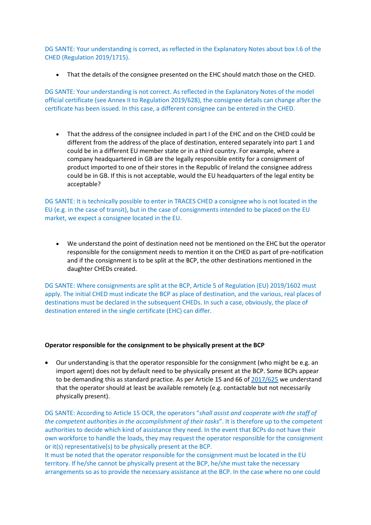DG SANTE: Your understanding is correct, as reflected in the Explanatory Notes about box I.6 of the CHED (Regulation 2019/1715).

That the details of the consignee presented on the EHC should match those on the CHED.

DG SANTE: Your understanding is not correct. As reflected in the Explanatory Notes of the model official certificate (see Annex II to Regulation 2019/628), the consignee details can change after the certificate has been issued. In this case, a different consignee can be entered in the CHED.

 That the address of the consignee included in part I of the EHC and on the CHED could be different from the address of the place of destination, entered separately into part 1 and could be in a different EU member state or in a third country. For example, where a company headquartered in GB are the legally responsible entity for a consignment of product imported to one of their stores in the Republic of Ireland the consignee address could be in GB. If this is not acceptable, would the EU headquarters of the legal entity be acceptable?

DG SANTE: It is technically possible to enter in TRACES CHED a consignee who is not located in the EU (e.g. in the case of transit), but in the case of consignments intended to be placed on the EU market, we expect a consignee located in the EU.

 We understand the point of destination need not be mentioned on the EHC but the operator responsible for the consignment needs to mention it on the CHED as part of pre-notification and if the consignment is to be split at the BCP, the other destinations mentioned in the daughter CHEDs created.

DG SANTE: Where consignments are split at the BCP, Article 5 of Regulation (EU) 2019/1602 must apply. The initial CHED must indicate the BCP as place of destination, and the various, real places of destinations must be declared in the subsequent CHEDs. In such a case, obviously, the place of destination entered in the single certificate (EHC) can differ.

#### **Operator responsible for the consignment to be physically present at the BCP**

 Our understanding is that the operator responsible for the consignment (who might be e.g. an import agent) does not by default need to be physically present at the BCP. Some BCPs appear to be demanding this as standard practice. As per Article 15 and 66 of [2017/625](https://eur-lex.europa.eu/eli/reg/2017/625/2019-12-14) we understand that the operator should at least be available remotely (e.g. contactable but not necessarily physically present).

DG SANTE: According to Article 15 OCR, the operators "*shall assist and cooperate with the staff of the competent authorities in the accomplishment of their tasks*". It is therefore up to the competent authorities to decide which kind of assistance they need. In the event that BCPs do not have their own workforce to handle the loads, they may request the operator responsible for the consignment or it(s) representative(s) to be physically present at the BCP.

It must be noted that the operator responsible for the consignment must be located in the EU territory. If he/she cannot be physically present at the BCP, he/she must take the necessary arrangements so as to provide the necessary assistance at the BCP. In the case where no one could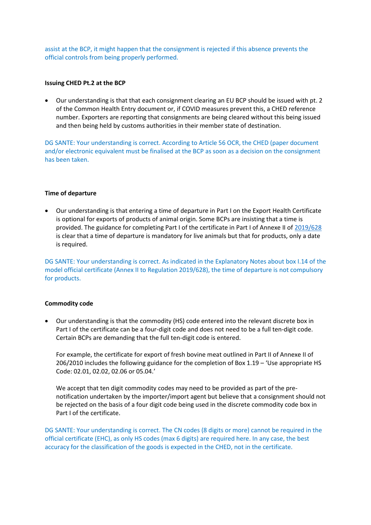assist at the BCP, it might happen that the consignment is rejected if this absence prevents the official controls from being properly performed.

#### **Issuing CHED Pt.2 at the BCP**

 Our understanding is that that each consignment clearing an EU BCP should be issued with pt. 2 of the Common Health Entry document or, if COVID measures prevent this, a CHED reference number. Exporters are reporting that consignments are being cleared without this being issued and then being held by customs authorities in their member state of destination.

DG SANTE: Your understanding is correct. According to Article 56 OCR, the CHED (paper document and/or electronic equivalent must be finalised at the BCP as soon as a decision on the consignment has been taken.

### **Time of departure**

 Our understanding is that entering a time of departure in Part I on the Export Health Certificate is optional for exports of products of animal origin. Some BCPs are insisting that a time is provided. The guidance for completing Part I of the certificate in Part I of Annexe II o[f 2019/628](https://eur-lex.europa.eu/legal-content/EN/TXT/PDF/?uri=CELEX:02019R0628-20190517&from=EN) is clear that a time of departure is mandatory for live animals but that for products, only a date is required.

DG SANTE: Your understanding is correct. As indicated in the Explanatory Notes about box I.14 of the model official certificate (Annex II to Regulation 2019/628), the time of departure is not compulsory for products.

## **Commodity code**

 Our understanding is that the commodity (HS) code entered into the relevant discrete box in Part I of the certificate can be a four-digit code and does not need to be a full ten-digit code. Certain BCPs are demanding that the full ten-digit code is entered.

For example, the certificate for export of fresh bovine meat outlined in Part II of Annexe II of 206/2010 includes the following guidance for the completion of Box 1.19 – 'Use appropriate HS Code: 02.01, 02.02, 02.06 or 05.04.'

We accept that ten digit commodity codes may need to be provided as part of the prenotification undertaken by the importer/import agent but believe that a consignment should not be rejected on the basis of a four digit code being used in the discrete commodity code box in Part I of the certificate.

DG SANTE: Your understanding is correct. The CN codes (8 digits or more) cannot be required in the official certificate (EHC), as only HS codes (max 6 digits) are required here. In any case, the best accuracy for the classification of the goods is expected in the CHED, not in the certificate.